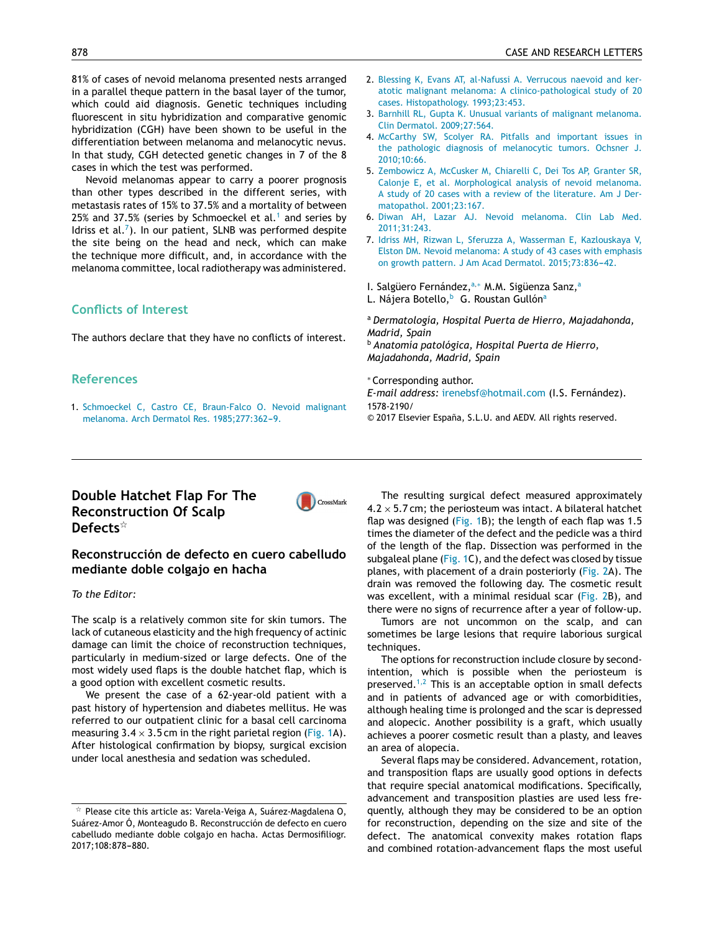81% of cases of nevoid melanoma presented nests arranged in a parallel theque pattern in the basal laver of the tumor. which could aid diagnosis. Genetic techniques including fluorescent in situ hybridization and comparative genomic hybridization (CGH) have been shown to be useful in the differentiation between melanoma and melanocytic nevus. In that study, CGH detected genetic changes in 7 of the 8 cases in which the test was performed.

Nevoid melanomas appear to carry a poorer prognosis than other types described in the different series, with metastasis rates of 15% to 37.5% and a mortality of between 25% and 37.5% (series by Schmoeckel et al.<sup>1</sup> and series by Idriss et al. $<sup>7</sup>$ ). In our patient, SLNB was performed despite</sup> the site being on the head and neck, which can make the technique more difficult, and, in accordance with the melanoma committee, local radiotherapy was administered.

# **Conflicts of Interest**

The authors declare that they have no conflicts of interest.

### **References**

1. Schmoeckel C, Castro CE, Braun-Falco O. Nevoid malignant melanoma. Arch Dermatol Res. 1985;277:362-9.

- 2. Blessing K, Evans AT, al-Nafussi A. Verrucous naevoid and keratotic malignant melanoma: A clinico-pathological study of 20 cases. Histopathology. 1993;23:453.
- 3. Barnhill RL, Gupta K. Unusual variants of malignant melanoma. Clin Dermatol. 2009;27:564.
- 4. McCarthy SW, Scolyer RA. Pitfalls and important issues in the pathologic diagnosis of melanocytic tumors. Ochsner J. 2010:10:66.
- 5. Zembowicz A, McCusker M, Chiarelli C, Dei Tos AP, Granter SR, Calonje E, et al. Morphological analysis of nevoid melanoma. A study of 20 cases with a review of the literature. Am J Dermatopathol. 2001;23:167.
- 6. Diwan AH, Lazar AJ. Nevoid melanoma. Clin Lab Med. 2011;31:243.
- 7. Idriss MH, Rizwan L, Sferuzza A, Wasserman E, Kazlouskaya V, Elston DM. Nevoid melanoma: A study of 43 cases with emphasis on growth pattern. J Am Acad Dermatol. 2015;73:836-42.
- I. Salgüero Fernández, a.\* M.M. Sigüenza Sanz, a
- L. Nájera Botello,<sup>b</sup> G. Roustan Gullón<sup>a</sup>

<sup>a</sup> Dermatología, Hospital Puerta de Hierro, Majadahonda, Madrid, Spain

<sup>b</sup> Anatomía patológica, Hospital Puerta de Hierro, Majadahonda, Madrid, Spain

#### \*Corresponding author.

E-mail address: irenebsf@hotmail.com (I.S. Fernández). 1578-2190/

© 2017 Elsevier España, S.L.U. and AEDV. All rights reserved.

# Double Hatchet Flap For The **Reconstruction Of Scalp** Defects $\hat{X}$

## Reconstrucción de defecto en cuero cabelludo mediante doble colgajo en hacha

#### To the Editor:

The scalp is a relatively common site for skin tumors. The lack of cutaneous elasticity and the high frequency of actinic damage can limit the choice of reconstruction techniques, particularly in medium-sized or large defects. One of the most widely used flaps is the double hatchet flap, which is a good option with excellent cosmetic results.

We present the case of a 62-year-old patient with a past history of hypertension and diabetes mellitus. He was referred to our outpatient clinic for a basal cell carcinoma measuring  $3.4 \times 3.5$  cm in the right parietal region (Fig. 1A). After histological confirmation by biopsy, surgical excision under local anesthesia and sedation was scheduled.

The resulting surgical defect measured approximately  $4.2 \times 5.7$  cm; the periosteum was intact. A bilateral hatchet flap was designed (Fig. 1B); the length of each flap was 1.5 times the diameter of the defect and the pedicle was a third of the length of the flap. Dissection was performed in the subgaleal plane (Fig. 1C), and the defect was closed by tissue planes, with placement of a drain posteriorly (Fig. 2A). The drain was removed the following day. The cosmetic result was excellent, with a minimal residual scar (Fig. 2B), and there were no signs of recurrence after a year of follow-up.

Tumors are not uncommon on the scalp, and can sometimes be large lesions that require laborious surgical techniques.

The options for reconstruction include closure by secondintention, which is possible when the periosteum is preserved.<sup>1,2</sup> This is an acceptable option in small defects and in patients of advanced age or with comorbidities, although healing time is prolonged and the scar is depressed and alopecic. Another possibility is a graft, which usually achieves a poorer cosmetic result than a plasty, and leaves an area of alopecia.

Several flaps may be considered. Advancement, rotation, and transposition flaps are usually good options in defects that require special anatomical modifications. Specifically, advancement and transposition plasties are used less frequently, although they may be considered to be an option for reconstruction, depending on the size and site of the defect. The anatomical convexity makes rotation flaps and combined rotation-advancement flaps the most useful



 $\overrightarrow{r}$  Please cite this article as: Varela-Veiga A, Suárez-Magdalena O, Suárez-Amor Ó, Monteagudo B. Reconstrucción de defecto en cuero cabelludo mediante doble colgajo en hacha. Actas Dermosifiliogr. 2017;108:878-880.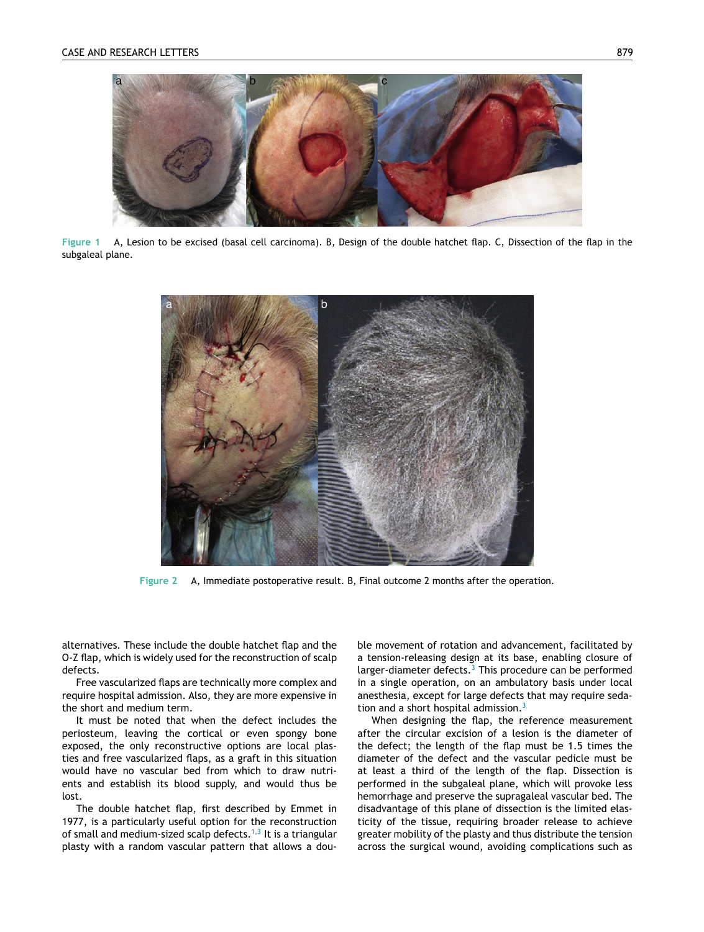<span id="page-1-0"></span>

**Figure 1** A, Lesion to be excised (basal cell carcinoma). B, Design of the double hatchet flap. C, Dissection of the flap in the subgaleal plane.



**Figure 2** A, Immediate postoperative result. B, Final outcome 2 months after the operation.

alternatives. These include the double hatchet flap and the O-Z flap, which is widely used for the reconstruction of scalp defects.

Free vascularized flaps are technically more complex and require hospital admission. Also, they are more expensive in the short and medium term.

It must be noted that when the defect includes the periosteum, leaving the cortical or even spongy bone exposed, the only reconstructive options are local plasties and free vascularized flaps, as a graft in this situation would have no vascular bed from which to draw nutrients and establish its blood supply, and would thus be lost.

The double hatchet flap, first described by Emmet in 1977, is a particularly useful option for the reconstruction of small and medium-sized scalp defects.<sup>[1,3](#page-2-0)</sup> It is a triangular plasty with a random vascular pattern that allows a double movement of rotation and advancement, facilitated by a tension-releasing design at its base, enabling closure of larger-diameter defects. $3$  This procedure can be performed in a single operation, on an ambulatory basis under local anesthesia, except for large defects that may require seda-tion and a short hospital admission.<sup>[3](#page-2-0)</sup>

When designing the flap, the reference measurement after the circular excision of a lesion is the diameter of the defect; the length of the flap must be 1.5 times the diameter of the defect and the vascular pedicle must be at least a third of the length of the flap. Dissection is performed in the subgaleal plane, which will provoke less hemorrhage and preserve the supragaleal vascular bed. The disadvantage of this plane of dissection is the limited elasticity of the tissue, requiring broader release to achieve greater mobility of the plasty and thus distribute the tension across the surgical wound, avoiding complications such as